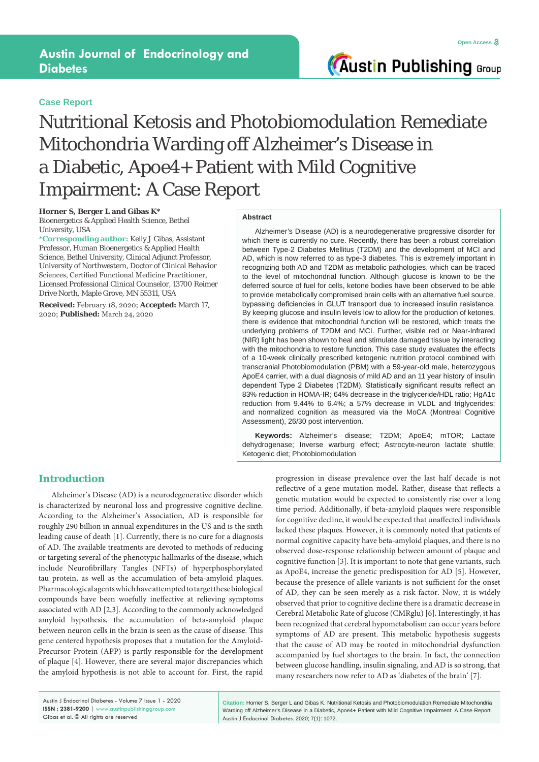## **Case Report**

**Austin Publishing Group** 

# Nutritional Ketosis and Photobiomodulation Remediate Mitochondria Warding off Alzheimer's Disease in a Diabetic, Apoe4+ Patient with Mild Cognitive Impairment: A Case Report

**Horner S, Berger L and Gibas K\***

Bioenergetics & Applied Health Science, Bethel University, USA

**\*Corresponding author:** Kelly J Gibas, Assistant Professor, Human Bioenergetics & Applied Health Science, Bethel University, Clinical Adjunct Professor, University of Northwestern, Doctor of Clinical Behavior Sciences, Certified Functional Medicine Practitioner, Licensed Professional Clinical Counselor, 13700 Reimer Drive North, Maple Grove, MN 55311, USA

**Received:** February 18, 2020; **Accepted:** March 17, 2020; **Published:** March 24, 2020

#### **Abstract**

Alzheimer's Disease (AD) is a neurodegenerative progressive disorder for which there is currently no cure. Recently, there has been a robust correlation between Type-2 Diabetes Mellitus (T2DM) and the development of MCI and AD, which is now referred to as type-3 diabetes. This is extremely important in recognizing both AD and T2DM as metabolic pathologies, which can be traced to the level of mitochondrial function. Although glucose is known to be the deferred source of fuel for cells, ketone bodies have been observed to be able to provide metabolically compromised brain cells with an alternative fuel source, bypassing deficiencies in GLUT transport due to increased insulin resistance. By keeping glucose and insulin levels low to allow for the production of ketones, there is evidence that mitochondrial function will be restored, which treats the underlying problems of T2DM and MCI. Further, visible red or Near-Infrared (NIR) light has been shown to heal and stimulate damaged tissue by interacting with the mitochondria to restore function. This case study evaluates the effects of a 10-week clinically prescribed ketogenic nutrition protocol combined with transcranial Photobiomodulation (PBM) with a 59-year-old male, heterozygous ApoE4 carrier, with a dual diagnosis of mild AD and an 11 year history of insulin dependent Type 2 Diabetes (T2DM). Statistically significant results reflect an 83% reduction in HOMA-IR; 64% decrease in the triglyceride/HDL ratio; HgA1c reduction from 9.44% to 6.4%; a 57% decrease in VLDL and triglycerides; and normalized cognition as measured via the MoCA (Montreal Cognitive Assessment), 26/30 post intervention.

**Keywords:** Alzheimer's disease; T2DM; ApoE4; mTOR; Lactate dehydrogenase; Inverse warburg effect; Astrocyte-neuron lactate shuttle; Ketogenic diet; Photobiomodulation

## **Introduction**

Alzheimer's Disease (AD) is a neurodegenerative disorder which is characterized by neuronal loss and progressive cognitive decline. According to the Alzheimer's Association, AD is responsible for roughly 290 billion in annual expenditures in the US and is the sixth leading cause of death [1]. Currently, there is no cure for a diagnosis of AD. The available treatments are devoted to methods of reducing or targeting several of the phenotypic hallmarks of the disease, which include Neurofibrillary Tangles (NFTs) of hyperphosphorylated tau protein, as well as the accumulation of beta-amyloid plaques. Pharmacological agents which have attempted to target these biological compounds have been woefully ineffective at relieving symptoms associated with AD [2,3]. According to the commonly acknowledged amyloid hypothesis, the accumulation of beta-amyloid plaque between neuron cells in the brain is seen as the cause of disease. This gene centered hypothesis proposes that a mutation for the Amyloid-Precursor Protein (APP) is partly responsible for the development of plaque [4]. However, there are several major discrepancies which the amyloid hypothesis is not able to account for. First, the rapid

progression in disease prevalence over the last half decade is not reflective of a gene mutation model. Rather, disease that reflects a genetic mutation would be expected to consistently rise over a long time period. Additionally, if beta-amyloid plaques were responsible for cognitive decline, it would be expected that unaffected individuals lacked these plaques. However, it is commonly noted that patients of normal cognitive capacity have beta-amyloid plaques, and there is no observed dose-response relationship between amount of plaque and cognitive function [3]. It is important to note that gene variants, such as ApoE4, increase the genetic predisposition for AD [5]. However, because the presence of allele variants is not sufficient for the onset of AD, they can be seen merely as a risk factor. Now, it is widely observed that prior to cognitive decline there is a dramatic decrease in Cerebral Metabolic Rate of glucose (CMRglu) [6]. Interestingly, it has been recognized that cerebral hypometabolism can occur years before symptoms of AD are present. This metabolic hypothesis suggests that the cause of AD may be rooted in mitochondrial dysfunction accompanied by fuel shortages to the brain. In fact, the connection between glucose handling, insulin signaling, and AD is so strong, that many researchers now refer to AD as 'diabetes of the brain' [7].

**Citation:** Horner S, Berger L and Gibas K. Nutritional Ketosis and Photobiomodulation Remediate Mitochondria Warding off Alzheimer's Disease in a Diabetic, Apoe4+ Patient with Mild Cognitive Impairment: A Case Report. Austin J Endocrinol Diabetes. 2020; 7(1): 1072.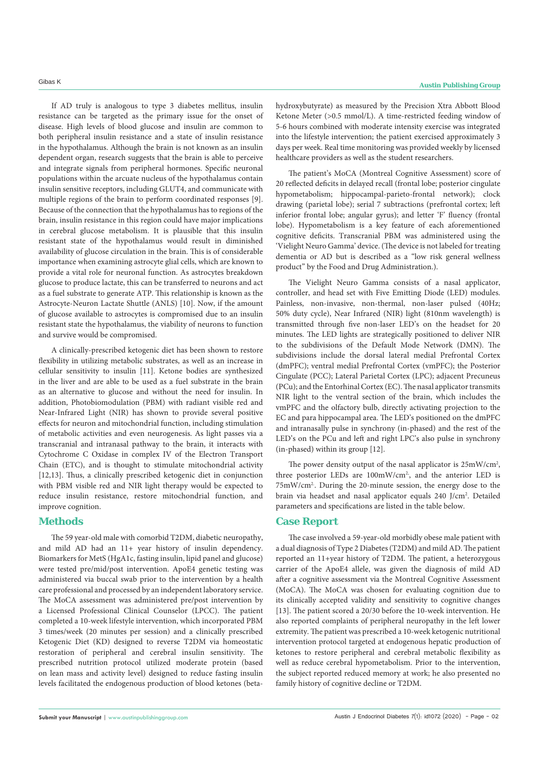If AD truly is analogous to type 3 diabetes mellitus, insulin resistance can be targeted as the primary issue for the onset of disease. High levels of blood glucose and insulin are common to both peripheral insulin resistance and a state of insulin resistance in the hypothalamus. Although the brain is not known as an insulin dependent organ, research suggests that the brain is able to perceive and integrate signals from peripheral hormones. Specific neuronal populations within the arcuate nucleus of the hypothalamus contain insulin sensitive receptors, including GLUT4, and communicate with multiple regions of the brain to perform coordinated responses [9]. Because of the connection that the hypothalamus has to regions of the brain, insulin resistance in this region could have major implications in cerebral glucose metabolism. It is plausible that this insulin resistant state of the hypothalamus would result in diminished availability of glucose circulation in the brain. This is of considerable importance when examining astrocyte glial cells, which are known to provide a vital role for neuronal function. As astrocytes breakdown glucose to produce lactate, this can be transferred to neurons and act as a fuel substrate to generate ATP. This relationship is known as the Astrocyte-Neuron Lactate Shuttle (ANLS) [10]. Now, if the amount of glucose available to astrocytes is compromised due to an insulin resistant state the hypothalamus, the viability of neurons to function and survive would be compromised.

A clinically-prescribed ketogenic diet has been shown to restore flexibility in utilizing metabolic substrates, as well as an increase in cellular sensitivity to insulin [11]. Ketone bodies are synthesized in the liver and are able to be used as a fuel substrate in the brain as an alternative to glucose and without the need for insulin. In addition, Photobiomodulation (PBM) with radiant visible red and Near-Infrared Light (NIR) has shown to provide several positive effects for neuron and mitochondrial function, including stimulation of metabolic activities and even neurogenesis. As light passes via a transcranial and intranasal pathway to the brain, it interacts with Cytochrome C Oxidase in complex IV of the Electron Transport Chain (ETC), and is thought to stimulate mitochondrial activity [12,13]. Thus, a clinically prescribed ketogenic diet in conjunction with PBM visible red and NIR light therapy would be expected to reduce insulin resistance, restore mitochondrial function, and improve cognition.

### **Methods**

The 59 year-old male with comorbid T2DM, diabetic neuropathy, and mild AD had an 11+ year history of insulin dependency. Biomarkers for MetS (HgA1c, fasting insulin, lipid panel and glucose) were tested pre/mid/post intervention. ApoE4 genetic testing was administered via buccal swab prior to the intervention by a health care professional and processed by an independent laboratory service. The MoCA assessment was administered pre/post intervention by a Licensed Professional Clinical Counselor (LPCC). The patient completed a 10-week lifestyle intervention, which incorporated PBM 3 times/week (20 minutes per session) and a clinically prescribed Ketogenic Diet (KD) designed to reverse T2DM via homeostatic restoration of peripheral and cerebral insulin sensitivity. The prescribed nutrition protocol utilized moderate protein (based on lean mass and activity level) designed to reduce fasting insulin levels facilitated the endogenous production of blood ketones (betahydroxybutyrate) as measured by the Precision Xtra Abbott Blood Ketone Meter (>0.5 mmol/L). A time-restricted feeding window of 5-6 hours combined with moderate intensity exercise was integrated into the lifestyle intervention; the patient exercised approximately 3 days per week. Real time monitoring was provided weekly by licensed healthcare providers as well as the student researchers.

The patient's MoCA (Montreal Cognitive Assessment) score of 20 reflected deficits in delayed recall (frontal lobe; posterior cingulate hypometabolism; hippocampal-parieto-frontal network); clock drawing (parietal lobe); serial 7 subtractions (prefrontal cortex; left inferior frontal lobe; angular gyrus); and letter 'F' fluency (frontal lobe). Hypometabolism is a key feature of each aforementioned cognitive deficits. Transcranial PBM was administered using the 'Vielight Neuro Gamma' device. (The device is not labeled for treating dementia or AD but is described as a "low risk general wellness product" by the Food and Drug Administration.).

The Vielight Neuro Gamma consists of a nasal applicator, controller, and head set with Five Emitting Diode (LED) modules. Painless, non-invasive, non-thermal, non-laser pulsed (40Hz; 50% duty cycle), Near Infrared (NIR) light (810nm wavelength) is transmitted through five non-laser LED's on the headset for 20 minutes. The LED lights are strategically positioned to deliver NIR to the subdivisions of the Default Mode Network (DMN). The subdivisions include the dorsal lateral medial Prefrontal Cortex (dmPFC); ventral medial Prefrontal Cortex (vmPFC); the Posterior Cingulate (PCC); Lateral Parietal Cortex (LPC); adjacent Precuneus (PCu); and the Entorhinal Cortex (EC). The nasal applicator transmits NIR light to the ventral section of the brain, which includes the vmPFC and the olfactory bulb, directly activating projection to the EC and para hippocampal area. The LED's positioned on the dmPFC and intranasally pulse in synchrony (in-phased) and the rest of the LED's on the PCu and left and right LPC's also pulse in synchrony (in-phased) within its group [12].

The power density output of the nasal applicator is  $25 \text{mW/cm}^2$ , three posterior LEDs are 100mW/cm<sup>2</sup>, and the anterior LED is 75mW/cm2.. During the 20-minute session, the energy dose to the brain via headset and nasal applicator equals 240 J/cm<sup>2</sup>. Detailed parameters and specifications are listed in the table below.

## **Case Report**

The case involved a 59-year-old morbidly obese male patient with a dual diagnosis of Type 2 Diabetes (T2DM) and mild AD. The patient reported an 11+year history of T2DM. The patient, a heterozygous carrier of the ApoE4 allele, was given the diagnosis of mild AD after a cognitive assessment via the Montreal Cognitive Assessment (MoCA). The MoCA was chosen for evaluating cognition due to its clinically accepted validity and sensitivity to cognitive changes [13]. The patient scored a 20/30 before the 10-week intervention. He also reported complaints of peripheral neuropathy in the left lower extremity. The patient was prescribed a 10-week ketogenic nutritional intervention protocol targeted at endogenous hepatic production of ketones to restore peripheral and cerebral metabolic flexibility as well as reduce cerebral hypometabolism. Prior to the intervention, the subject reported reduced memory at work; he also presented no family history of cognitive decline or T2DM.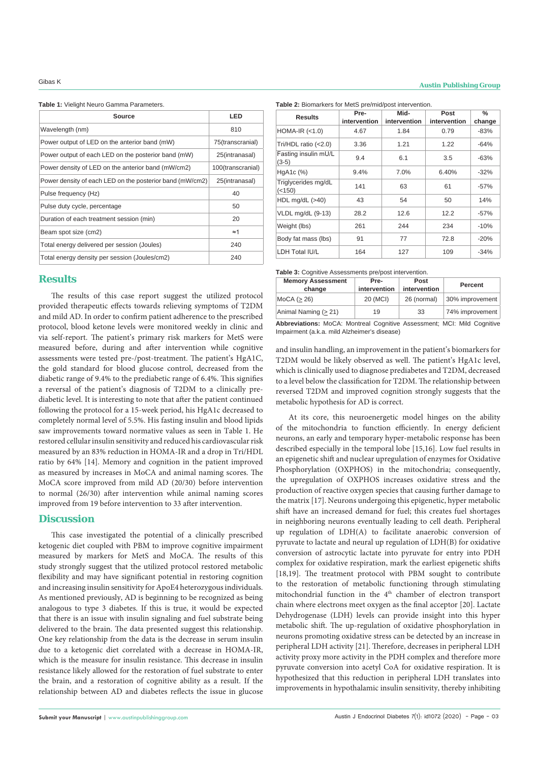**Table 1:** Vielight Neuro Gamma Parameters.

| Source                                                   | LED               |  |
|----------------------------------------------------------|-------------------|--|
| Wavelength (nm)                                          | 810               |  |
| Power output of LED on the anterior band (mW)            | 75(transcranial)  |  |
| Power output of each LED on the posterior band (mW)      | 25(intranasal)    |  |
| Power density of LED on the anterior band (mW/cm2)       | 100(transcranial) |  |
| Power density of each LED on the posterior band (mW/cm2) | 25(intranasal)    |  |
| Pulse frequency (Hz)                                     | 40                |  |
| Pulse duty cycle, percentage                             | 50                |  |
| Duration of each treatment session (min)                 | 20                |  |
| Beam spot size (cm2)                                     | $\approx$ 1       |  |
| Total energy delivered per session (Joules)              | 240               |  |
| Total energy density per session (Joules/cm2)            | 240               |  |

#### **Results**

The results of this case report suggest the utilized protocol provided therapeutic effects towards relieving symptoms of T2DM and mild AD. In order to confirm patient adherence to the prescribed protocol, blood ketone levels were monitored weekly in clinic and via self-report. The patient's primary risk markers for MetS were measured before, during and after intervention while cognitive assessments were tested pre-/post-treatment. The patient's HgA1C, the gold standard for blood glucose control, decreased from the diabetic range of 9.4% to the prediabetic range of 6.4%. This signifies a reversal of the patient's diagnosis of T2DM to a clinically prediabetic level. It is interesting to note that after the patient continued following the protocol for a 15-week period, his HgA1c decreased to completely normal level of 5.5%. His fasting insulin and blood lipids saw improvements toward normative values as seen in Table 1. He restored cellular insulin sensitivity and reduced his cardiovascular risk measured by an 83% reduction in HOMA-IR and a drop in Tri/HDL ratio by 64% [14]. Memory and cognition in the patient improved as measured by increases in MoCA and animal naming scores. The MoCA score improved from mild AD (20/30) before intervention to normal (26/30) after intervention while animal naming scores improved from 19 before intervention to 33 after intervention.

#### **Discussion**

This case investigated the potential of a clinically prescribed ketogenic diet coupled with PBM to improve cognitive impairment measured by markers for MetS and MoCA. The results of this study strongly suggest that the utilized protocol restored metabolic flexibility and may have significant potential in restoring cognition and increasing insulin sensitivity for ApoE4 heterozygous individuals. As mentioned previously, AD is beginning to be recognized as being analogous to type 3 diabetes. If this is true, it would be expected that there is an issue with insulin signaling and fuel substrate being delivered to the brain. The data presented suggest this relationship. One key relationship from the data is the decrease in serum insulin due to a ketogenic diet correlated with a decrease in HOMA-IR, which is the measure for insulin resistance. This decrease in insulin resistance likely allowed for the restoration of fuel substrate to enter the brain, and a restoration of cognitive ability as a result. If the relationship between AD and diabetes reflects the issue in glucose Table 2: Biomarkers for MetS pre/mid/post intervention.

| Results                         | Pre-<br>intervention | Mid-<br>intervention | Post<br>intervention | $\%$<br>change |
|---------------------------------|----------------------|----------------------|----------------------|----------------|
| HOMA-IR $(<1.0)$                | 4.67                 | 1.84                 | 0.79                 | $-83%$         |
| Tri/HDL ratio $(<2.0)$          | 3.36                 | 1.21                 | 1.22                 | $-64%$         |
| Fasting insulin mU/L<br>$(3-5)$ | 9.4                  | 6.1                  | 3.5                  | $-63%$         |
| HgA <sub>1</sub> c $(\%)$       | 9.4%                 | 7.0%                 | 6.40%                | $-32%$         |
| Triglycerides mg/dL<br>(<150)   | 141                  | 63                   | 61                   | $-57%$         |
| HDL mg/dL $(>40)$               | 43                   | 54                   | 50                   | 14%            |
| VLDL mg/dL (9-13)               | 28.2                 | 12.6                 | 12.2                 | $-57%$         |
| Weight (lbs)                    | 261                  | 244                  | 234                  | $-10%$         |
| Body fat mass (lbs)             | 91                   | 77                   | 72.8                 | $-20%$         |
| LDH Total IU/L                  | 164                  | 127                  | 109                  | $-34%$         |

**Table 3:** Cognitive Assessments pre/post intervention.

| <b>Memory Assessment</b><br>change | Pre-<br>intervention | Post<br>intervention | Percent         |
|------------------------------------|----------------------|----------------------|-----------------|
| MoCA $(> 26)$                      | 20 (MCI)             | 26 (normal)          | 30% improvement |
| Animal Naming $(2 21)$             | 19                   | 33                   | 74% improvement |

**Abbreviations:** MoCA: Montreal Cognitive Assessment; MCI: Mild Cognitive Impairment (a.k.a. mild Alzheimer's disease)

and insulin handling, an improvement in the patient's biomarkers for T2DM would be likely observed as well. The patient's HgA1c level, which is clinically used to diagnose prediabetes and T2DM, decreased to a level below the classification for T2DM. The relationship between reversed T2DM and improved cognition strongly suggests that the metabolic hypothesis for AD is correct.

At its core, this neuroenergetic model hinges on the ability of the mitochondria to function efficiently. In energy deficient neurons, an early and temporary hyper-metabolic response has been described especially in the temporal lobe [15,16]. Low fuel results in an epigenetic shift and nuclear upregulation of enzymes for Oxidative Phosphorylation (OXPHOS) in the mitochondria; consequently, the upregulation of OXPHOS increases oxidative stress and the production of reactive oxygen species that causing further damage to the matrix [17]. Neurons undergoing this epigenetic, hyper metabolic shift have an increased demand for fuel; this creates fuel shortages in neighboring neurons eventually leading to cell death. Peripheral up regulation of LDH(A) to facilitate anaerobic conversion of pyruvate to lactate and neural up regulation of LDH(B) for oxidative conversion of astrocytic lactate into pyruvate for entry into PDH complex for oxidative respiration, mark the earliest epigenetic shifts [18,19]. The treatment protocol with PBM sought to contribute to the restoration of metabolic functioning through stimulating mitochondrial function in the 4<sup>th</sup> chamber of electron transport chain where electrons meet oxygen as the final acceptor [20]. Lactate Dehydrogenase (LDH) levels can provide insight into this hyper metabolic shift. The up-regulation of oxidative phosphorylation in neurons promoting oxidative stress can be detected by an increase in peripheral LDH activity [21]. Therefore, decreases in peripheral LDH activity proxy more activity in the PDH complex and therefore more pyruvate conversion into acetyl CoA for oxidative respiration. It is hypothesized that this reduction in peripheral LDH translates into improvements in hypothalamic insulin sensitivity, thereby inhibiting